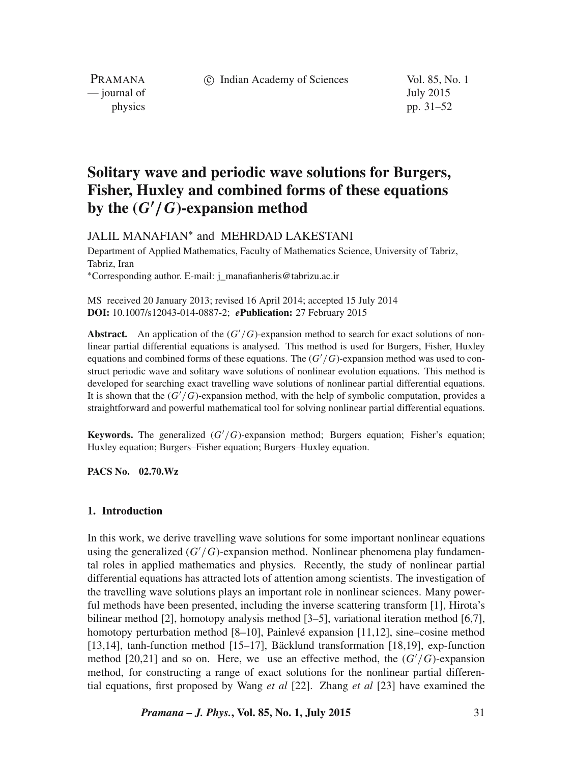c Indian Academy of Sciences Vol. 85, No. 1

PRAMANA — journal of July 2015

physics pp. 31–52

# **Solitary wave and periodic wave solutions for Burgers, Fisher, Huxley and combined forms of these equations by the (**G′ /G**)-expansion method**

JALIL MANAFIAN∗ and MEHRDAD LAKESTANI

Department of Applied Mathematics, Faculty of Mathematics Science, University of Tabriz, Tabriz, Iran ∗Corresponding author. E-mail: j\_manafianheris@tabrizu.ac.ir

MS received 20 January 2013; revised 16 April 2014; accepted 15 July 2014 **DOI:** 10.1007/s12043-014-0887-2; *e***Publication:** 27 February 2015

**Abstract.** An application of the  $(G'/G)$ -expansion method to search for exact solutions of nonlinear partial differential equations is analysed. This method is used for Burgers, Fisher, Huxley equations and combined forms of these equations. The  $(G'/G)$ -expansion method was used to construct periodic wave and solitary wave solutions of nonlinear evolution equations. This method is developed for searching exact travelling wave solutions of nonlinear partial differential equations. It is shown that the  $(G'/G)$ -expansion method, with the help of symbolic computation, provides a straightforward and powerful mathematical tool for solving nonlinear partial differential equations.

**Keywords.** The generalized  $(G'/G)$ -expansion method; Burgers equation; Fisher's equation; Huxley equation; Burgers–Fisher equation; Burgers–Huxley equation.

**PACS No. 02.70.Wz**

## **1. Introduction**

In this work, we derive travelling wave solutions for some important nonlinear equations using the generalized  $(G'/G)$ -expansion method. Nonlinear phenomena play fundamental roles in applied mathematics and physics. Recently, the study of nonlinear partial differential equations has attracted lots of attention among scientists. The investigation of the travelling wave solutions plays an important role in nonlinear sciences. Many powerful methods have been presented, including the inverse scattering transform [1], Hirota's bilinear method [2], homotopy analysis method [3–5], variational iteration method [6,7], homotopy perturbation method [8–10], Painlevé expansion [11,12], sine–cosine method [13,14], tanh-function method [15–17], Bäcklund transformation [18,19], exp-function method [20,21] and so on. Here, we use an effective method, the  $(G'/G)$ -expansion method, for constructing a range of exact solutions for the nonlinear partial differential equations, first proposed by Wang *et al* [22]. Zhang *et al* [23] have examined the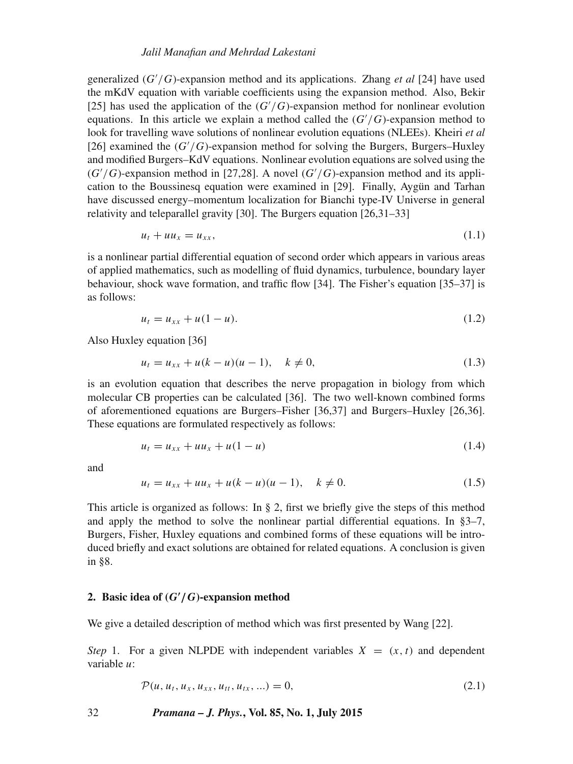### *Jalil Manafian and Mehrdad Lakestani*

generalized (G′ /G)-expansion method and its applications. Zhang *et al* [24] have used the mKdV equation with variable coefficients using the expansion method. Also, Bekir [25] has used the application of the  $(G'/G)$ -expansion method for nonlinear evolution equations. In this article we explain a method called the  $(G'/G)$ -expansion method to look for travelling wave solutions of nonlinear evolution equations (NLEEs). Kheiri *et al* [26] examined the  $(G'/G)$ -expansion method for solving the Burgers, Burgers–Huxley and modified Burgers–KdV equations. Nonlinear evolution equations are solved using the  $(G'/G)$ -expansion method in [27,28]. A novel  $(G'/G)$ -expansion method and its application to the Boussinesq equation were examined in [29]. Finally, Aygün and Tarhan have discussed energy–momentum localization for Bianchi type-IV Universe in general relativity and teleparallel gravity [30]. The Burgers equation [26,31–33]

$$
u_t + uu_x = u_{xx},\tag{1.1}
$$

is a nonlinear partial differential equation of second order which appears in various areas of applied mathematics, such as modelling of fluid dynamics, turbulence, boundary layer behaviour, shock wave formation, and traffic flow [34]. The Fisher's equation [35–37] is as follows:

$$
u_t = u_{xx} + u(1 - u). \tag{1.2}
$$

Also Huxley equation [36]

$$
u_t = u_{xx} + u(k - u)(u - 1), \quad k \neq 0,
$$
\n(1.3)

is an evolution equation that describes the nerve propagation in biology from which molecular CB properties can be calculated [36]. The two well-known combined forms of aforementioned equations are Burgers–Fisher [36,37] and Burgers–Huxley [26,36]. These equations are formulated respectively as follows:

$$
u_t = u_{xx} + uu_x + u(1 - u) \tag{1.4}
$$

and

$$
u_t = u_{xx} + uu_x + u(k - u)(u - 1), \quad k \neq 0.
$$
 (1.5)

This article is organized as follows: In  $\S$  2, first we briefly give the steps of this method and apply the method to solve the nonlinear partial differential equations. In §3–7, Burgers, Fisher, Huxley equations and combined forms of these equations will be introduced briefly and exact solutions are obtained for related equations. A conclusion is given in §8.

## **2. Basic idea of (**G′ /G**)-expansion method**

We give a detailed description of method which was first presented by Wang [22].

*Step* 1. For a given NLPDE with independent variables  $X = (x, t)$  and dependent variable u:

$$
\mathcal{P}(u, u_t, u_x, u_{xx}, u_{tt}, u_{tx}, \ldots) = 0, \qquad (2.1)
$$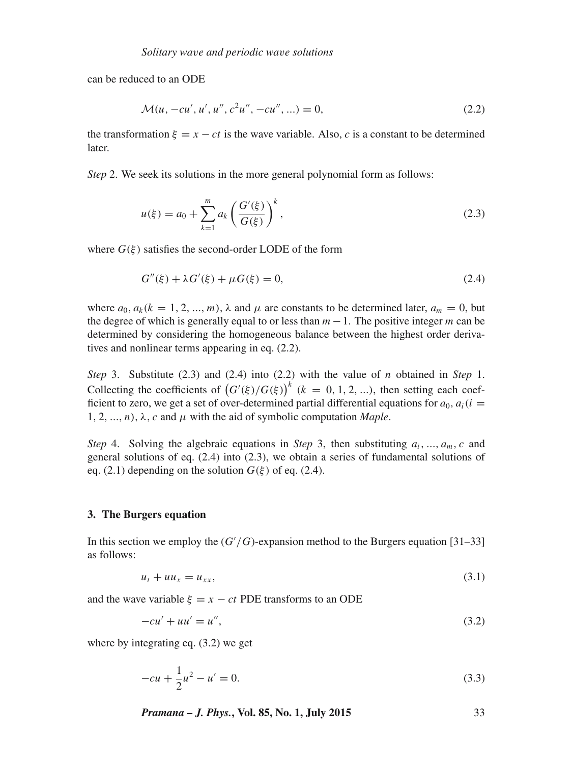can be reduced to an ODE

$$
\mathcal{M}(u, -cu', u', u'', c^2u'', -cu'', \ldots) = 0,
$$
\n(2.2)

the transformation  $\xi = x - ct$  is the wave variable. Also, c is a constant to be determined later.

*Step* 2. We seek its solutions in the more general polynomial form as follows:

$$
u(\xi) = a_0 + \sum_{k=1}^{m} a_k \left( \frac{G'(\xi)}{G(\xi)} \right)^k,
$$
\n(2.3)

where  $G(\xi)$  satisfies the second-order LODE of the form

$$
G''(\xi) + \lambda G'(\xi) + \mu G(\xi) = 0,
$$
\n(2.4)

where  $a_0$ ,  $a_k$ ( $k = 1, 2, ..., m$ ),  $\lambda$  and  $\mu$  are constants to be determined later,  $a_m = 0$ , but the degree of which is generally equal to or less than  $m-1$ . The positive integer m can be determined by considering the homogeneous balance between the highest order derivatives and nonlinear terms appearing in eq. (2.2).

*Step* 3. Substitute (2.3) and (2.4) into (2.2) with the value of n obtained in *Step* 1. Collecting the coefficients of  $(G'(\xi)/G(\xi))^k$  ( $k = 0, 1, 2, ...$ ), then setting each coefficient to zero, we get a set of over-determined partial differential equations for  $a_0$ ,  $a_i(i =$ 1, 2, ..., *n*),  $\lambda$ , *c* and  $\mu$  with the aid of symbolic computation *Maple*.

*Step* 4. Solving the algebraic equations in *Step* 3, then substituting  $a_i, ..., a_m, c$  and general solutions of eq. (2.4) into (2.3), we obtain a series of fundamental solutions of eq. (2.1) depending on the solution  $G(\xi)$  of eq. (2.4).

## **3. The Burgers equation**

In this section we employ the  $(G'/G)$ -expansion method to the Burgers equation [31–33] as follows:

$$
u_t + uu_x = u_{xx},\tag{3.1}
$$

and the wave variable  $\xi = x - ct$  PDE transforms to an ODE

$$
-cu' + uu' = u'',\tag{3.2}
$$

where by integrating eq. (3.2) we get

$$
-cu + \frac{1}{2}u^2 - u' = 0.
$$
\n(3.3)

*Pramana – J. Phys.***, Vol. 85, No. 1, July 2015** 33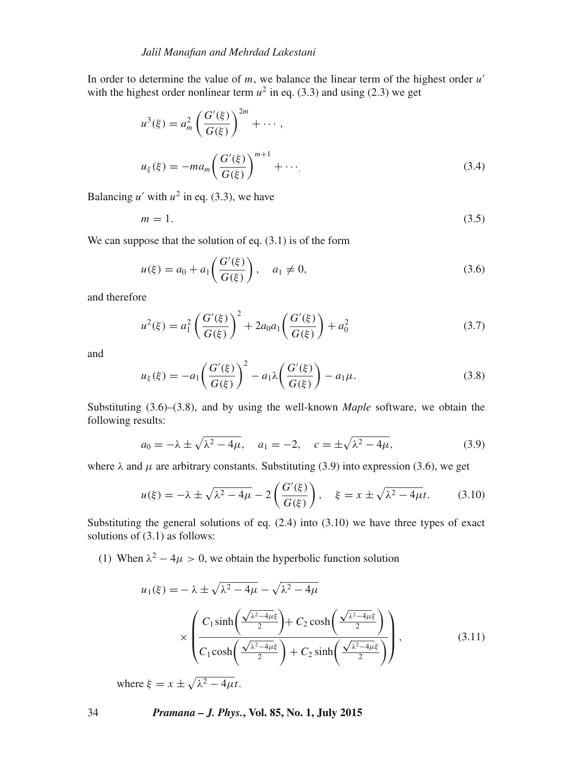In order to determine the value of  $m$ , we balance the linear term of the highest order  $u'$ with the highest order nonlinear term  $u^2$  in eq. (3.3) and using (2.3) we get

$$
u^{3}(\xi) = a_{m}^{2} \left( \frac{G'(\xi)}{G(\xi)} \right)^{2m} + \cdots ,
$$
  

$$
u_{\xi}(\xi) = -ma_{m} \left( \frac{G'(\xi)}{G(\xi)} \right)^{m+1} + \cdots .
$$
 (3.4)

Balancing  $u'$  with  $u^2$  in eq. (3.3), we have

$$
m = 1.\tag{3.5}
$$

We can suppose that the solution of eq.  $(3.1)$  is of the form

$$
u(\xi) = a_0 + a_1 \left( \frac{G'(\xi)}{G(\xi)} \right), \quad a_1 \neq 0,
$$
\n(3.6)

and therefore

$$
u^{2}(\xi) = a_{1}^{2} \left( \frac{G'(\xi)}{G(\xi)} \right)^{2} + 2a_{0}a_{1} \left( \frac{G'(\xi)}{G(\xi)} \right) + a_{0}^{2}
$$
\n(3.7)

and

$$
u_{\xi}(\xi) = -a_1 \left( \frac{G'(\xi)}{G(\xi)} \right)^2 - a_1 \lambda \left( \frac{G'(\xi)}{G(\xi)} \right) - a_1 \mu.
$$
 (3.8)

Substituting (3.6)–(3.8), and by using the well-known *Maple* software, we obtain the following results:

$$
a_0 = -\lambda \pm \sqrt{\lambda^2 - 4\mu}, \quad a_1 = -2, \quad c = \pm \sqrt{\lambda^2 - 4\mu},
$$
 (3.9)

where  $\lambda$  and  $\mu$  are arbitrary constants. Substituting (3.9) into expression (3.6), we get

$$
u(\xi) = -\lambda \pm \sqrt{\lambda^2 - 4\mu} - 2\left(\frac{G'(\xi)}{G(\xi)}\right), \quad \xi = x \pm \sqrt{\lambda^2 - 4\mu}t. \tag{3.10}
$$

Substituting the general solutions of eq.  $(2.4)$  into  $(3.10)$  we have three types of exact solutions of (3.1) as follows:

(1) When  $\lambda^2 - 4\mu > 0$ , we obtain the hyperbolic function solution

$$
u_1(\xi) = -\lambda \pm \sqrt{\lambda^2 - 4\mu} - \sqrt{\lambda^2 - 4\mu}
$$
  
 
$$
\times \left( \frac{C_1 \sinh\left(\frac{\sqrt{\lambda^2 - 4\mu\xi}}{2}\right) + C_2 \cosh\left(\frac{\sqrt{\lambda^2 - 4\mu\xi}}{2}\right)}{C_1 \cosh\left(\frac{\sqrt{\lambda^2 - 4\mu\xi}}{2}\right) + C_2 \sinh\left(\frac{\sqrt{\lambda^2 - 4\mu\xi}}{2}\right)} \right),
$$
 (3.11)

where  $\xi = x \pm \sqrt{\lambda^2 - 4\mu t}$ .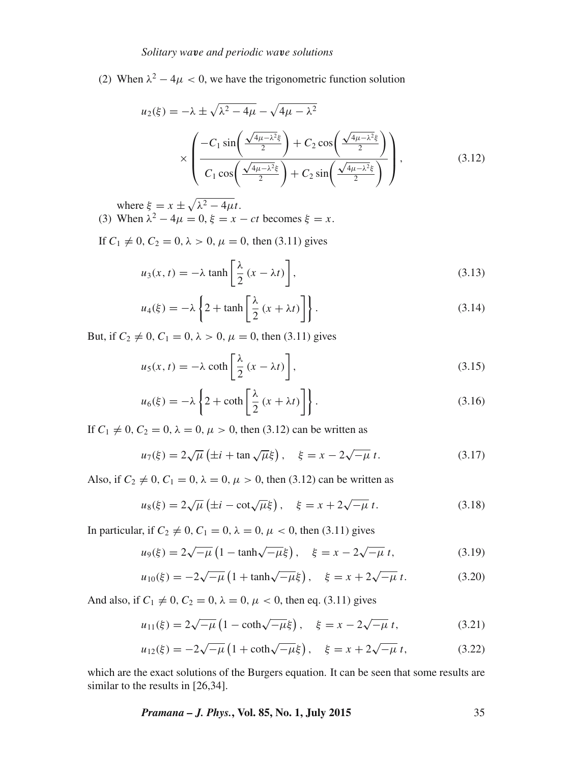(2) When  $\lambda^2 - 4\mu < 0$ , we have the trigonometric function solution

$$
u_2(\xi) = -\lambda \pm \sqrt{\lambda^2 - 4\mu} - \sqrt{4\mu - \lambda^2}
$$

$$
\times \left( \frac{-C_1 \sin\left(\frac{\sqrt{4\mu - \lambda^2}\xi}{2}\right) + C_2 \cos\left(\frac{\sqrt{4\mu - \lambda^2}\xi}{2}\right)}{C_1 \cos\left(\frac{\sqrt{4\mu - \lambda^2}\xi}{2}\right) + C_2 \sin\left(\frac{\sqrt{4\mu - \lambda^2}\xi}{2}\right)} \right),
$$
(3.12)

where  $\xi = x \pm \sqrt{\lambda^2 - 4\mu t}$ .

(3) When  $\lambda^2 - 4\mu = 0$ ,  $\xi = x - ct$  becomes  $\xi = x$ .

If  $C_1 \neq 0$ ,  $C_2 = 0$ ,  $\lambda > 0$ ,  $\mu = 0$ , then (3.11) gives

$$
u_3(x,t) = -\lambda \tanh\left[\frac{\lambda}{2}(x - \lambda t)\right],\tag{3.13}
$$

$$
u_4(\xi) = -\lambda \left\{ 2 + \tanh\left[\frac{\lambda}{2} \left(x + \lambda t\right)\right] \right\}.
$$
 (3.14)

But, if  $C_2 \neq 0$ ,  $C_1 = 0$ ,  $\lambda > 0$ ,  $\mu = 0$ , then (3.11) gives

$$
u_5(x,t) = -\lambda \coth\left[\frac{\lambda}{2}(x - \lambda t)\right],\tag{3.15}
$$

$$
u_6(\xi) = -\lambda \left\{ 2 + \coth\left[\frac{\lambda}{2} (x + \lambda t)\right] \right\}.
$$
 (3.16)

If  $C_1 \neq 0, C_2 = 0, \lambda = 0, \mu > 0$ , then (3.12) can be written as

$$
u_7(\xi) = 2\sqrt{\mu} \left( \pm i + \tan \sqrt{\mu} \xi \right), \quad \xi = x - 2\sqrt{-\mu} t.
$$
 (3.17)

Also, if  $C_2 \neq 0$ ,  $C_1 = 0$ ,  $\lambda = 0$ ,  $\mu > 0$ , then (3.12) can be written as

$$
u_8(\xi) = 2\sqrt{\mu} \left( \pm i - \cot \sqrt{\mu} \xi \right), \quad \xi = x + 2\sqrt{-\mu} t. \tag{3.18}
$$

In particular, if  $C_2 \neq 0$ ,  $C_1 = 0$ ,  $\lambda = 0$ ,  $\mu < 0$ , then (3.11) gives

$$
u_9(\xi) = 2\sqrt{-\mu} \left(1 - \tanh\sqrt{-\mu}\xi\right), \quad \xi = x - 2\sqrt{-\mu} \, t,
$$
 (3.19)

$$
u_{10}(\xi) = -2\sqrt{-\mu} \left( 1 + \tanh\sqrt{-\mu}\xi \right), \quad \xi = x + 2\sqrt{-\mu} \ t. \tag{3.20}
$$

And also, if  $C_1 \neq 0$ ,  $C_2 = 0$ ,  $\lambda = 0$ ,  $\mu < 0$ , then eq. (3.11) gives

$$
u_{11}(\xi) = 2\sqrt{-\mu} \left(1 - \coth\sqrt{-\mu}\xi\right), \quad \xi = x - 2\sqrt{-\mu} t,
$$
 (3.21)

$$
u_{12}(\xi) = -2\sqrt{-\mu} \left( 1 + \coth\sqrt{-\mu}\xi \right), \quad \xi = x + 2\sqrt{-\mu} \, t,\tag{3.22}
$$

which are the exact solutions of the Burgers equation. It can be seen that some results are similar to the results in [26,34].

*Pramana – J. Phys.***, Vol. 85, No. 1, July 2015** 35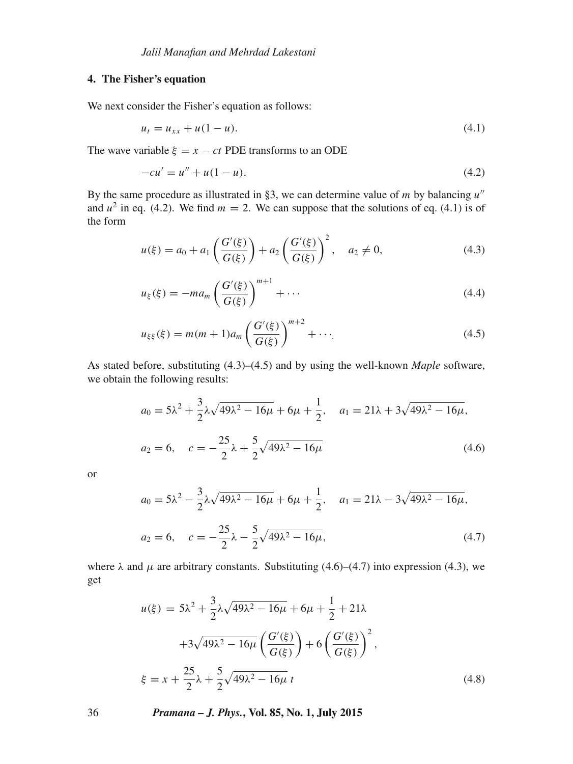## **4. The Fisher's equation**

We next consider the Fisher's equation as follows:

$$
u_t = u_{xx} + u(1 - u). \tag{4.1}
$$

The wave variable  $\xi = x - ct$  PDE transforms to an ODE

$$
-cu' = u'' + u(1 - u).
$$
\n(4.2)

By the same procedure as illustrated in §3, we can determine value of m by balancing  $u''$ and  $u^2$  in eq. (4.2). We find  $m = 2$ . We can suppose that the solutions of eq. (4.1) is of the form

$$
u(\xi) = a_0 + a_1 \left( \frac{G'(\xi)}{G(\xi)} \right) + a_2 \left( \frac{G'(\xi)}{G(\xi)} \right)^2, \quad a_2 \neq 0,
$$
\n(4.3)

$$
u_{\xi}(\xi) = -ma_m \left(\frac{G'(\xi)}{G(\xi)}\right)^{m+1} + \cdots
$$
 (4.4)

$$
u_{\xi\xi}(\xi) = m(m+1)a_m \left(\frac{G'(\xi)}{G(\xi)}\right)^{m+2} + \cdots
$$
 (4.5)

As stated before, substituting (4.3)–(4.5) and by using the well-known *Maple* software, we obtain the following results:

$$
a_0 = 5\lambda^2 + \frac{3}{2}\lambda\sqrt{49\lambda^2 - 16\mu} + 6\mu + \frac{1}{2}, \quad a_1 = 21\lambda + 3\sqrt{49\lambda^2 - 16\mu},
$$
  

$$
a_2 = 6, \quad c = -\frac{25}{2}\lambda + \frac{5}{2}\sqrt{49\lambda^2 - 16\mu}
$$
(4.6)

or

$$
a_0 = 5\lambda^2 - \frac{3}{2}\lambda\sqrt{49\lambda^2 - 16\mu} + 6\mu + \frac{1}{2}, \quad a_1 = 21\lambda - 3\sqrt{49\lambda^2 - 16\mu},
$$
  
\n
$$
a_2 = 6, \quad c = -\frac{25}{2}\lambda - \frac{5}{2}\sqrt{49\lambda^2 - 16\mu},
$$
\n(4.7)

where  $\lambda$  and  $\mu$  are arbitrary constants. Substituting (4.6)–(4.7) into expression (4.3), we get

$$
u(\xi) = 5\lambda^2 + \frac{3}{2}\lambda\sqrt{49\lambda^2 - 16\mu} + 6\mu + \frac{1}{2} + 21\lambda
$$
  
+3\sqrt{49\lambda^2 - 16\mu} \left(\frac{G'(\xi)}{G(\xi)}\right) + 6\left(\frac{G'(\xi)}{G(\xi)}\right)^2,  

$$
\xi = x + \frac{25}{2}\lambda + \frac{5}{2}\sqrt{49\lambda^2 - 16\mu} t
$$
(4.8)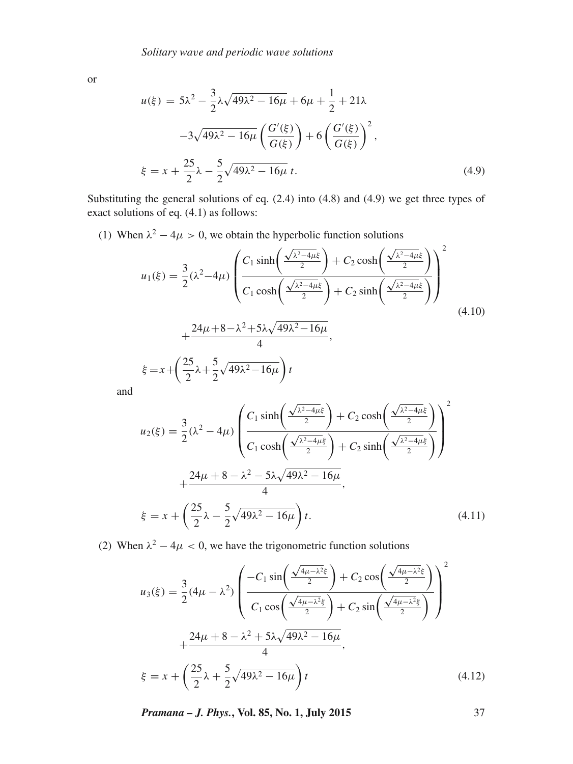or

$$
u(\xi) = 5\lambda^2 - \frac{3}{2}\lambda\sqrt{49\lambda^2 - 16\mu} + 6\mu + \frac{1}{2} + 21\lambda
$$
  

$$
-3\sqrt{49\lambda^2 - 16\mu} \left(\frac{G'(\xi)}{G(\xi)}\right) + 6\left(\frac{G'(\xi)}{G(\xi)}\right)^2,
$$
  

$$
\xi = x + \frac{25}{2}\lambda - \frac{5}{2}\sqrt{49\lambda^2 - 16\mu} t.
$$
 (4.9)

Substituting the general solutions of eq. (2.4) into (4.8) and (4.9) we get three types of exact solutions of eq. (4.1) as follows:

(1) When  $\lambda^2 - 4\mu > 0$ , we obtain the hyperbolic function solutions

$$
u_1(\xi) = \frac{3}{2}(\lambda^2 - 4\mu) \left( \frac{C_1 \sinh\left(\frac{\sqrt{\lambda^2 - 4\mu}\xi}{2}\right) + C_2 \cosh\left(\frac{\sqrt{\lambda^2 - 4\mu}\xi}{2}\right)}{C_1 \cosh\left(\frac{\sqrt{\lambda^2 - 4\mu}\xi}{2}\right) + C_2 \sinh\left(\frac{\sqrt{\lambda^2 - 4\mu}\xi}{2}\right)} \right)^2
$$
  
 
$$
+ \frac{24\mu + 8 - \lambda^2 + 5\lambda\sqrt{49\lambda^2 - 16\mu}}{4},
$$
  
 
$$
\xi = x + \left(\frac{25}{2}\lambda + \frac{5}{2}\sqrt{49\lambda^2 - 16\mu}\right)t
$$
 (4.10)

and

$$
u_2(\xi) = \frac{3}{2}(\lambda^2 - 4\mu) \left( \frac{C_1 \sinh\left(\frac{\sqrt{\lambda^2 - 4\mu\xi}}{2}\right) + C_2 \cosh\left(\frac{\sqrt{\lambda^2 - 4\mu\xi}}{2}\right)}{C_1 \cosh\left(\frac{\sqrt{\lambda^2 - 4\mu\xi}}{2}\right) + C_2 \sinh\left(\frac{\sqrt{\lambda^2 - 4\mu\xi}}{2}\right)} \right)^2
$$
  
 
$$
+ \frac{24\mu + 8 - \lambda^2 - 5\lambda\sqrt{49\lambda^2 - 16\mu}}{4},
$$
  
\n
$$
\xi = x + \left(\frac{25}{2}\lambda - \frac{5}{2}\sqrt{49\lambda^2 - 16\mu}\right)t.
$$
 (4.11)

(2) When  $\lambda^2 - 4\mu < 0$ , we have the trigonometric function solutions

$$
u_3(\xi) = \frac{3}{2}(4\mu - \lambda^2) \left( \frac{-C_1 \sin\left(\frac{\sqrt{4\mu - \lambda^2}\xi}{2}\right) + C_2 \cos\left(\frac{\sqrt{4\mu - \lambda^2}\xi}{2}\right)}{C_1 \cos\left(\frac{\sqrt{4\mu - \lambda^2}\xi}{2}\right) + C_2 \sin\left(\frac{\sqrt{4\mu - \lambda^2}\xi}{2}\right)} \right)^2 + \frac{24\mu + 8 - \lambda^2 + 5\lambda\sqrt{49\lambda^2 - 16\mu}}{4},
$$
  

$$
\xi = x + \left(\frac{25}{2}\lambda + \frac{5}{2}\sqrt{49\lambda^2 - 16\mu}\right)t
$$
(4.12)

*Pramana – J. Phys.***, Vol. 85, No. 1, July 2015** 37

2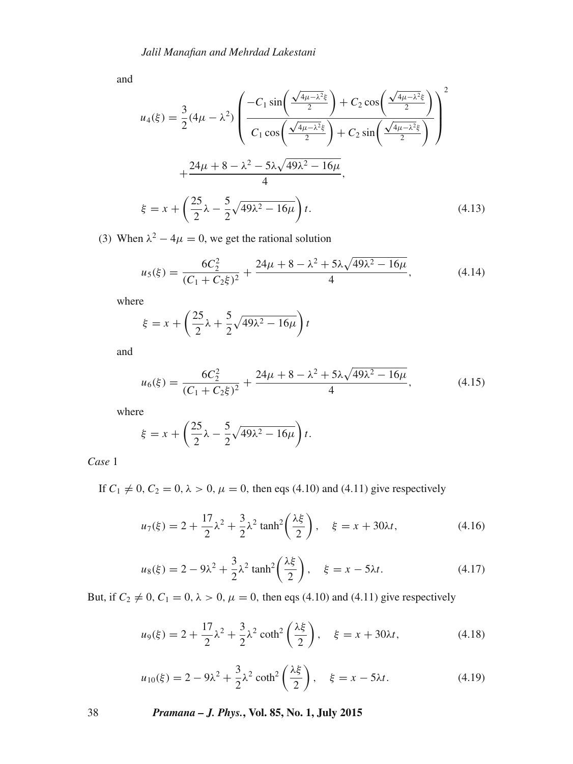and

$$
u_4(\xi) = \frac{3}{2}(4\mu - \lambda^2) \left( \frac{-C_1 \sin\left(\frac{\sqrt{4\mu - \lambda^2} \xi}{2}\right) + C_2 \cos\left(\frac{\sqrt{4\mu - \lambda^2} \xi}{2}\right)}{C_1 \cos\left(\frac{\sqrt{4\mu - \lambda^2} \xi}{2}\right) + C_2 \sin\left(\frac{\sqrt{4\mu - \lambda^2} \xi}{2}\right)} \right)^2 + \frac{24\mu + 8 - \lambda^2 - 5\lambda\sqrt{49\lambda^2 - 16\mu}}{4},
$$
  

$$
\xi = x + \left(\frac{25}{2}\lambda - \frac{5}{2}\sqrt{49\lambda^2 - 16\mu}\right)t.
$$
 (4.13)

(3) When  $\lambda^2 - 4\mu = 0$ , we get the rational solution

$$
u_5(\xi) = \frac{6C_2^2}{(C_1 + C_2\xi)^2} + \frac{24\mu + 8 - \lambda^2 + 5\lambda\sqrt{49\lambda^2 - 16\mu}}{4},
$$
 (4.14)

where

$$
\xi = x + \left(\frac{25}{2}\lambda + \frac{5}{2}\sqrt{49\lambda^2 - 16\mu}\right)t
$$

and

$$
u_6(\xi) = \frac{6C_2^2}{(C_1 + C_2\xi)^2} + \frac{24\mu + 8 - \lambda^2 + 5\lambda\sqrt{49\lambda^2 - 16\mu}}{4},
$$
 (4.15)

where

$$
\xi = x + \left(\frac{25}{2}\lambda - \frac{5}{2}\sqrt{49\lambda^2 - 16\mu}\right)t.
$$

*Case* 1

If  $C_1 \neq 0, C_2 = 0, \lambda > 0, \mu = 0$ , then eqs (4.10) and (4.11) give respectively

$$
u_7(\xi) = 2 + \frac{17}{2}\lambda^2 + \frac{3}{2}\lambda^2 \tanh^2\left(\frac{\lambda\xi}{2}\right), \quad \xi = x + 30\lambda t,
$$
 (4.16)

$$
u_8(\xi) = 2 - 9\lambda^2 + \frac{3}{2}\lambda^2 \tanh^2\left(\frac{\lambda\xi}{2}\right), \quad \xi = x - 5\lambda t.
$$
 (4.17)

But, if  $C_2 \neq 0$ ,  $C_1 = 0$ ,  $\lambda > 0$ ,  $\mu = 0$ , then eqs (4.10) and (4.11) give respectively

$$
u_9(\xi) = 2 + \frac{17}{2}\lambda^2 + \frac{3}{2}\lambda^2 \coth^2\left(\frac{\lambda\xi}{2}\right), \quad \xi = x + 30\lambda t,
$$
 (4.18)

$$
u_{10}(\xi) = 2 - 9\lambda^2 + \frac{3}{2}\lambda^2 \coth^2\left(\frac{\lambda\xi}{2}\right), \quad \xi = x - 5\lambda t. \tag{4.19}
$$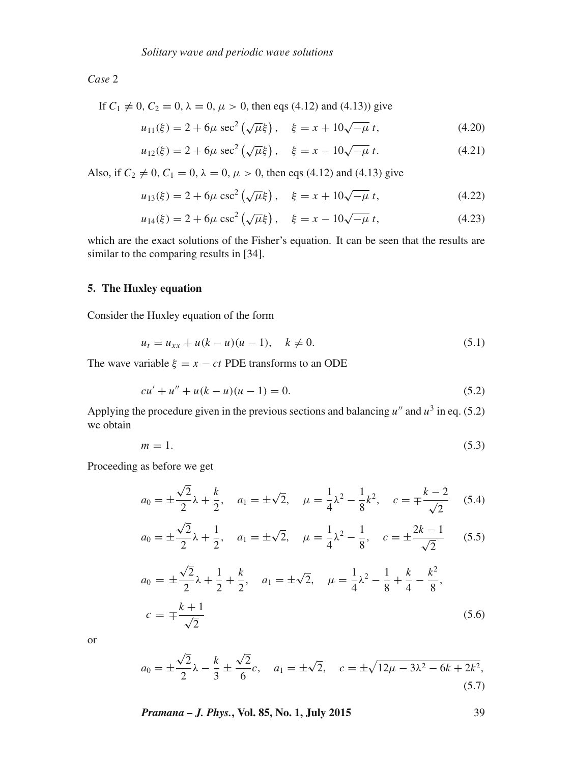*Case* 2

If 
$$
C_1 \neq 0
$$
,  $C_2 = 0$ ,  $\lambda = 0$ ,  $\mu > 0$ , then eqs (4.12) and (4.13)) give

$$
u_{11}(\xi) = 2 + 6\mu \sec^2\left(\sqrt{\mu}\xi\right), \quad \xi = x + 10\sqrt{-\mu} \ t,\tag{4.20}
$$

$$
u_{12}(\xi) = 2 + 6\mu \sec^2\left(\sqrt{\mu}\xi\right), \quad \xi = x - 10\sqrt{-\mu} \ t. \tag{4.21}
$$

Also, if  $C_2 \neq 0$ ,  $C_1 = 0$ ,  $\lambda = 0$ ,  $\mu > 0$ , then eqs (4.12) and (4.13) give

$$
u_{13}(\xi) = 2 + 6\mu \csc^2\left(\sqrt{\mu}\xi\right), \quad \xi = x + 10\sqrt{-\mu} \ t,\tag{4.22}
$$

$$
u_{14}(\xi) = 2 + 6\mu \csc^2\left(\sqrt{\mu}\xi\right), \quad \xi = x - 10\sqrt{-\mu} \ t,\tag{4.23}
$$

which are the exact solutions of the Fisher's equation. It can be seen that the results are similar to the comparing results in [34].

## **5. The Huxley equation**

Consider the Huxley equation of the form

$$
u_t = u_{xx} + u(k - u)(u - 1), \quad k \neq 0.
$$
 (5.1)

The wave variable  $\xi = x - ct$  PDE transforms to an ODE

$$
cu' + u'' + u(k - u)(u - 1) = 0.
$$
\n(5.2)

Applying the procedure given in the previous sections and balancing  $u''$  and  $u^3$  in eq. (5.2) we obtain

$$
m = 1.\tag{5.3}
$$

Proceeding as before we get

$$
a_0 = \pm \frac{\sqrt{2}}{2}\lambda + \frac{k}{2}, \quad a_1 = \pm \sqrt{2}, \quad \mu = \frac{1}{4}\lambda^2 - \frac{1}{8}k^2, \quad c = \mp \frac{k-2}{\sqrt{2}} \quad (5.4)
$$

$$
a_0 = \pm \frac{\sqrt{2}}{2} \lambda + \frac{1}{2}, \quad a_1 = \pm \sqrt{2}, \quad \mu = \frac{1}{4} \lambda^2 - \frac{1}{8}, \quad c = \pm \frac{2k - 1}{\sqrt{2}}
$$
 (5.5)

$$
a_0 = \pm \frac{\sqrt{2}}{2}\lambda + \frac{1}{2} + \frac{k}{2}, \quad a_1 = \pm \sqrt{2}, \quad \mu = \frac{1}{4}\lambda^2 - \frac{1}{8} + \frac{k}{4} - \frac{k^2}{8},
$$
  

$$
c = \mp \frac{k+1}{\sqrt{2}}
$$
 (5.6)

or

$$
a_0 = \pm \frac{\sqrt{2}}{2}\lambda - \frac{k}{3} \pm \frac{\sqrt{2}}{6}c, \quad a_1 = \pm \sqrt{2}, \quad c = \pm \sqrt{12\mu - 3\lambda^2 - 6k + 2k^2},
$$
\n(5.7)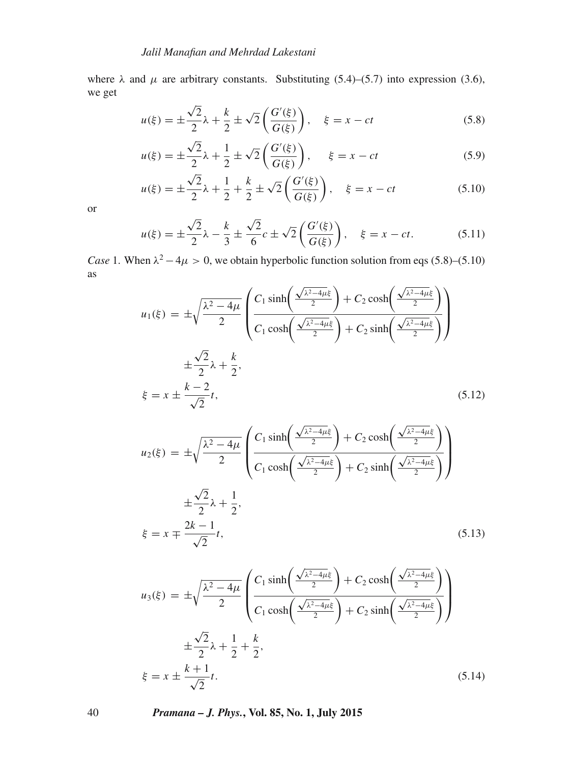where  $\lambda$  and  $\mu$  are arbitrary constants. Substituting (5.4)–(5.7) into expression (3.6), we get

$$
u(\xi) = \pm \frac{\sqrt{2}}{2}\lambda + \frac{k}{2} \pm \sqrt{2} \left(\frac{G'(\xi)}{G(\xi)}\right), \quad \xi = x - ct \tag{5.8}
$$

$$
u(\xi) = \pm \frac{\sqrt{2}}{2}\lambda + \frac{1}{2} \pm \sqrt{2} \left( \frac{G'(\xi)}{G(\xi)} \right), \quad \xi = x - ct \tag{5.9}
$$

$$
u(\xi) = \pm \frac{\sqrt{2}}{2}\lambda + \frac{1}{2} + \frac{k}{2} \pm \sqrt{2}\left(\frac{G'(\xi)}{G(\xi)}\right), \quad \xi = x - ct \tag{5.10}
$$

or

$$
u(\xi) = \pm \frac{\sqrt{2}}{2}\lambda - \frac{k}{3} \pm \frac{\sqrt{2}}{6}c \pm \sqrt{2}\left(\frac{G'(\xi)}{G(\xi)}\right), \quad \xi = x - ct. \tag{5.11}
$$

*Case* 1. When  $\lambda^2 - 4\mu > 0$ , we obtain hyperbolic function solution from eqs (5.8)–(5.10) as

$$
u_1(\xi) = \pm \sqrt{\frac{\lambda^2 - 4\mu}{2}} \left( \frac{C_1 \sinh\left(\frac{\sqrt{\lambda^2 - 4\mu\xi}}{2}\right) + C_2 \cosh\left(\frac{\sqrt{\lambda^2 - 4\mu\xi}}{2}\right)}{C_1 \cosh\left(\frac{\sqrt{\lambda^2 - 4\mu\xi}}{2}\right) + C_2 \sinh\left(\frac{\sqrt{\lambda^2 - 4\mu\xi}}{2}\right)} \right)
$$
  

$$
\pm \frac{\sqrt{2}}{2}\lambda + \frac{k}{2},
$$
  

$$
\xi = x \pm \frac{k - 2}{\sqrt{2}}t,
$$
 (5.12)

$$
u_2(\xi) = \pm \sqrt{\frac{\lambda^2 - 4\mu}{2}} \left( \frac{C_1 \sinh\left(\frac{\sqrt{\lambda^2 - 4\mu\xi}}{2}\right) + C_2 \cosh\left(\frac{\sqrt{\lambda^2 - 4\mu\xi}}{2}\right)}{C_1 \cosh\left(\frac{\sqrt{\lambda^2 - 4\mu\xi}}{2}\right) + C_2 \sinh\left(\frac{\sqrt{\lambda^2 - 4\mu\xi}}{2}\right)} \right)
$$
  

$$
\pm \frac{\sqrt{2}}{2} \lambda + \frac{1}{2},
$$
  

$$
\xi = x \mp \frac{2k - 1}{\sqrt{2}}t, \tag{5.13}
$$

$$
u_3(\xi) = \pm \sqrt{\frac{\lambda^2 - 4\mu}{2}} \left( \frac{C_1 \sinh\left(\frac{\sqrt{\lambda^2 - 4\mu\xi}}{2}\right) + C_2 \cosh\left(\frac{\sqrt{\lambda^2 - 4\mu\xi}}{2}\right)}{C_1 \cosh\left(\frac{\sqrt{\lambda^2 - 4\mu\xi}}{2}\right) + C_2 \sinh\left(\frac{\sqrt{\lambda^2 - 4\mu\xi}}{2}\right)} \right)
$$
  

$$
\pm \frac{\sqrt{2}}{2}\lambda + \frac{1}{2} + \frac{k}{2},
$$
  

$$
\xi = x \pm \frac{k+1}{\sqrt{2}}t.
$$
 (5.14)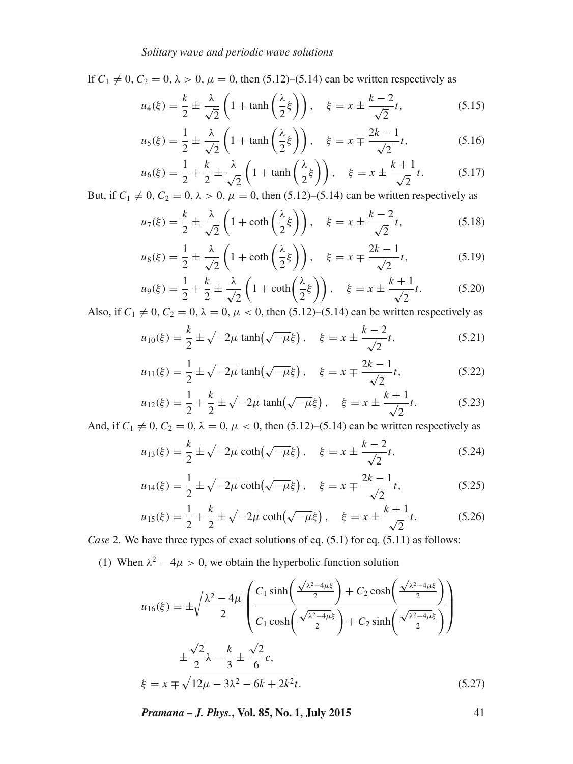If  $C_1 \neq 0$ ,  $C_2 = 0$ ,  $\lambda > 0$ ,  $\mu = 0$ , then (5.12)–(5.14) can be written respectively as

$$
u_4(\xi) = \frac{k}{2} \pm \frac{\lambda}{\sqrt{2}} \left( 1 + \tanh\left(\frac{\lambda}{2}\xi\right) \right), \quad \xi = x \pm \frac{k-2}{\sqrt{2}}t,\tag{5.15}
$$

$$
u_5(\xi) = \frac{1}{2} \pm \frac{\lambda}{\sqrt{2}} \left( 1 + \tanh\left(\frac{\lambda}{2}\xi\right) \right), \quad \xi = x \mp \frac{2k - 1}{\sqrt{2}}t,\tag{5.16}
$$

$$
u_6(\xi) = \frac{1}{2} + \frac{k}{2} \pm \frac{\lambda}{\sqrt{2}} \left( 1 + \tanh\left(\frac{\lambda}{2}\xi\right) \right), \quad \xi = x \pm \frac{k+1}{\sqrt{2}}t. \tag{5.17}
$$

But, if  $C_1 \neq 0$ ,  $C_2 = 0$ ,  $\lambda > 0$ ,  $\mu = 0$ , then (5.12)–(5.14) can be written respectively as

$$
u_7(\xi) = \frac{k}{2} \pm \frac{\lambda}{\sqrt{2}} \left( 1 + \coth\left(\frac{\lambda}{2}\xi\right) \right), \quad \xi = x \pm \frac{k-2}{\sqrt{2}}t,\tag{5.18}
$$

$$
u_8(\xi) = \frac{1}{2} \pm \frac{\lambda}{\sqrt{2}} \left( 1 + \coth\left(\frac{\lambda}{2}\xi\right) \right), \quad \xi = x \mp \frac{2k - 1}{\sqrt{2}}t,\tag{5.19}
$$

$$
u_9(\xi) = \frac{1}{2} + \frac{k}{2} \pm \frac{\lambda}{\sqrt{2}} \left( 1 + \coth\left(\frac{\lambda}{2}\xi\right) \right), \quad \xi = x \pm \frac{k+1}{\sqrt{2}}t. \tag{5.20}
$$

Also, if  $C_1 \neq 0, C_2 = 0, \lambda = 0, \mu < 0$ , then (5.12)–(5.14) can be written respectively as

$$
u_{10}(\xi) = \frac{k}{2} \pm \sqrt{-2\mu} \tanh(\sqrt{-\mu}\xi), \quad \xi = x \pm \frac{k-2}{\sqrt{2}}t,
$$
 (5.21)

$$
u_{11}(\xi) = \frac{1}{2} \pm \sqrt{-2\mu} \tanh(\sqrt{-\mu}\xi), \quad \xi = x \mp \frac{2k - 1}{\sqrt{2}}t,\tag{5.22}
$$

$$
u_{12}(\xi) = \frac{1}{2} + \frac{k}{2} \pm \sqrt{-2\mu} \tanh(\sqrt{-\mu}\xi), \quad \xi = x \pm \frac{k+1}{\sqrt{2}}t. \tag{5.23}
$$

And, if  $C_1 \neq 0$ ,  $C_2 = 0$ ,  $\lambda = 0$ ,  $\mu < 0$ , then (5.12)–(5.14) can be written respectively as

$$
u_{13}(\xi) = \frac{k}{2} \pm \sqrt{-2\mu} \coth(\sqrt{-\mu}\xi), \quad \xi = x \pm \frac{k-2}{\sqrt{2}}t,
$$
 (5.24)

$$
u_{14}(\xi) = \frac{1}{2} \pm \sqrt{-2\mu} \coth(\sqrt{-\mu}\xi), \quad \xi = x \mp \frac{2k - 1}{\sqrt{2}}t,\tag{5.25}
$$

$$
u_{15}(\xi) = \frac{1}{2} + \frac{k}{2} \pm \sqrt{-2\mu} \coth(\sqrt{-\mu}\xi), \quad \xi = x \pm \frac{k+1}{\sqrt{2}}t. \tag{5.26}
$$

*Case* 2. We have three types of exact solutions of eq. (5.1) for eq. (5.11) as follows:

(1) When  $\lambda^2 - 4\mu > 0$ , we obtain the hyperbolic function solution

$$
u_{16}(\xi) = \pm \sqrt{\frac{\lambda^2 - 4\mu}{2}} \left( \frac{C_1 \sinh\left(\frac{\sqrt{\lambda^2 - 4\mu}\xi}{2}\right) + C_2 \cosh\left(\frac{\sqrt{\lambda^2 - 4\mu}\xi}{2}\right)}{C_1 \cosh\left(\frac{\sqrt{\lambda^2 - 4\mu}\xi}{2}\right) + C_2 \sinh\left(\frac{\sqrt{\lambda^2 - 4\mu}\xi}{2}\right)} \right)
$$
  

$$
\pm \frac{\sqrt{2}}{2} \lambda - \frac{k}{3} \pm \frac{\sqrt{2}}{6} c,
$$
  

$$
\xi = x \mp \sqrt{12\mu - 3\lambda^2 - 6k + 2k^2} t.
$$
 (5.27)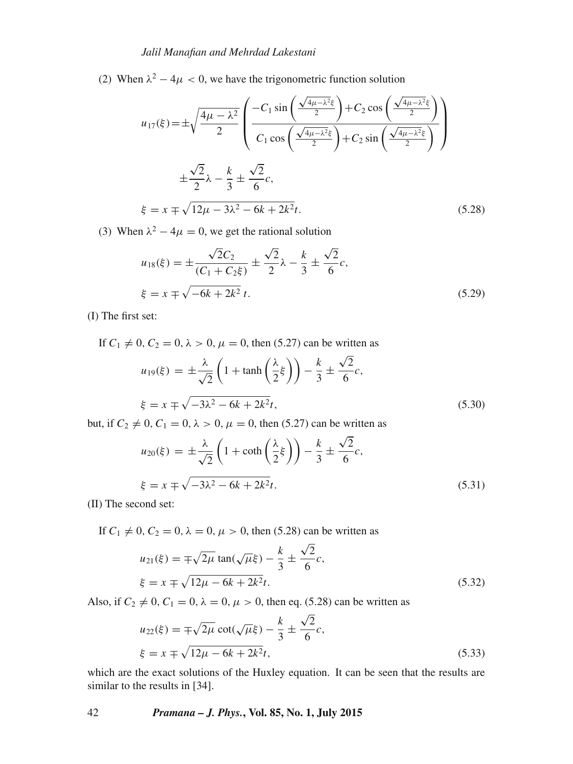(2) When  $\lambda^2 - 4\mu < 0$ , we have the trigonometric function solution

$$
u_{17}(\xi) = \pm \sqrt{\frac{4\mu - \lambda^2}{2}} \left( \frac{-C_1 \sin\left(\frac{\sqrt{4\mu - \lambda^2} \xi}{2}\right) + C_2 \cos\left(\frac{\sqrt{4\mu - \lambda^2} \xi}{2}\right)}{C_1 \cos\left(\frac{\sqrt{4\mu - \lambda^2} \xi}{2}\right) + C_2 \sin\left(\frac{\sqrt{4\mu - \lambda^2} \xi}{2}\right)} \right)
$$
  

$$
\pm \frac{\sqrt{2}}{2} \lambda - \frac{k}{3} \pm \frac{\sqrt{2}}{6} c,
$$
  

$$
\xi = x \mp \sqrt{12\mu - 3\lambda^2 - 6k + 2k^2} t.
$$
 (5.28)

(3) When  $\lambda^2 - 4\mu = 0$ , we get the rational solution

$$
u_{18}(\xi) = \pm \frac{\sqrt{2}C_2}{(C_1 + C_2\xi)} \pm \frac{\sqrt{2}}{2}\lambda - \frac{k}{3} \pm \frac{\sqrt{2}}{6}c,
$$
  

$$
\xi = x \mp \sqrt{-6k + 2k^2} t.
$$
 (5.29)

(I) The first set:

If  $C_1 \neq 0, C_2 = 0, \lambda > 0, \mu = 0$ , then (5.27) can be written as  $u_{19}(\xi) = \pm \frac{\lambda}{\sqrt{\lambda}}$  $\sqrt{2}$  $\left(1 + \tanh\left(\frac{\lambda}{2}\right)\right)$  $\frac{\lambda}{2} \xi$ )) − k  $\frac{1}{3}$  =  $\sqrt{2}$  $\frac{c}{6}c$ ,  $\xi = x \mp \sqrt{-3\lambda^2 - 6k + 2k^2}$  $(5.30)$ 

but, if  $C_2 \neq 0$ ,  $C_1 = 0$ ,  $\lambda > 0$ ,  $\mu = 0$ , then (5.27) can be written as

$$
u_{20}(\xi) = \pm \frac{\lambda}{\sqrt{2}} \left( 1 + \coth\left(\frac{\lambda}{2}\xi\right) \right) - \frac{k}{3} \pm \frac{\sqrt{2}}{6}c,
$$
  

$$
\xi = x \mp \sqrt{-3\lambda^2 - 6k + 2k^2}t.
$$
 (5.31)

(II) The second set:

If  $C_1 \neq 0, C_2 = 0, \lambda = 0, \mu > 0$ , then (5.28) can be written as

$$
u_{21}(\xi) = \pm \sqrt{2\mu} \tan(\sqrt{\mu}\xi) - \frac{k}{3} \pm \frac{\sqrt{2}}{6}c,
$$
  

$$
\xi = x \pm \sqrt{12\mu - 6k + 2k^2t}.
$$
 (5.32)

Also, if  $C_2 \neq 0$ ,  $C_1 = 0$ ,  $\lambda = 0$ ,  $\mu > 0$ , then eq. (5.28) can be written as

$$
u_{22}(\xi) = \pm \sqrt{2\mu} \cot(\sqrt{\mu}\xi) - \frac{k}{3} \pm \frac{\sqrt{2}}{6}c,
$$
  

$$
\xi = x \pm \sqrt{12\mu - 6k + 2k^2t},
$$
 (5.33)

which are the exact solutions of the Huxley equation. It can be seen that the results are similar to the results in [34].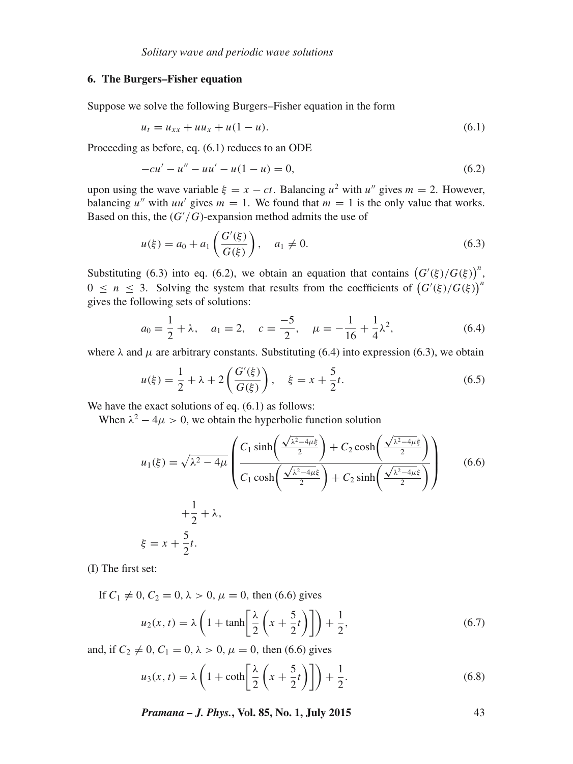## **6. The Burgers–Fisher equation**

Suppose we solve the following Burgers–Fisher equation in the form

$$
u_t = u_{xx} + uu_x + u(1 - u). \tag{6.1}
$$

Proceeding as before, eq. (6.1) reduces to an ODE

$$
-cu' - u'' - uu' - u(1 - u) = 0,
$$
\n(6.2)

upon using the wave variable  $\xi = x - ct$ . Balancing  $u^2$  with  $u''$  gives  $m = 2$ . However, balancing u'' with uu' gives  $m = 1$ . We found that  $m = 1$  is the only value that works. Based on this, the  $(G'/G)$ -expansion method admits the use of

$$
u(\xi) = a_0 + a_1 \left( \frac{G'(\xi)}{G(\xi)} \right), \quad a_1 \neq 0.
$$
 (6.3)

Substituting (6.3) into eq. (6.2), we obtain an equation that contains  $(G'(\xi)/G(\xi))^n$ ,  $0 \le n \le 3$ . Solving the system that results from the coefficients of  $(G'(\xi)/G(\xi))^n$ gives the following sets of solutions:

$$
a_0 = \frac{1}{2} + \lambda, \quad a_1 = 2, \quad c = \frac{-5}{2}, \quad \mu = -\frac{1}{16} + \frac{1}{4}\lambda^2,\tag{6.4}
$$

where  $\lambda$  and  $\mu$  are arbitrary constants. Substituting (6.4) into expression (6.3), we obtain

$$
u(\xi) = \frac{1}{2} + \lambda + 2\left(\frac{G'(\xi)}{G(\xi)}\right), \quad \xi = x + \frac{5}{2}t.
$$
 (6.5)

We have the exact solutions of eq.  $(6.1)$  as follows:

When  $\lambda^2 - 4\mu > 0$ , we obtain the hyperbolic function solution

$$
u_1(\xi) = \sqrt{\lambda^2 - 4\mu} \left( \frac{C_1 \sinh\left(\frac{\sqrt{\lambda^2 - 4\mu\xi}}{2}\right) + C_2 \cosh\left(\frac{\sqrt{\lambda^2 - 4\mu\xi}}{2}\right)}{C_1 \cosh\left(\frac{\sqrt{\lambda^2 - 4\mu\xi}}{2}\right) + C_2 \sinh\left(\frac{\sqrt{\lambda^2 - 4\mu\xi}}{2}\right)} \right)
$$
(6.6)  
 
$$
+ \frac{1}{2} + \lambda,
$$
  

$$
\xi = x + \frac{5}{2}t.
$$

(I) The first set:

If  $C_1 \neq 0, C_2 = 0, \lambda > 0, \mu = 0$ , then (6.6) gives

$$
u_2(x,t) = \lambda \left( 1 + \tanh\left[\frac{\lambda}{2}\left(x + \frac{5}{2}t\right)\right]\right) + \frac{1}{2},\tag{6.7}
$$

and, if  $C_2 \neq 0$ ,  $C_1 = 0$ ,  $\lambda > 0$ ,  $\mu = 0$ , then (6.6) gives

$$
u_3(x,t) = \lambda \left( 1 + \coth\left[\frac{\lambda}{2}\left(x + \frac{5}{2}t\right)\right]\right) + \frac{1}{2}.
$$
 (6.8)

*Pramana – J. Phys.***, Vol. 85, No. 1, July 2015** 43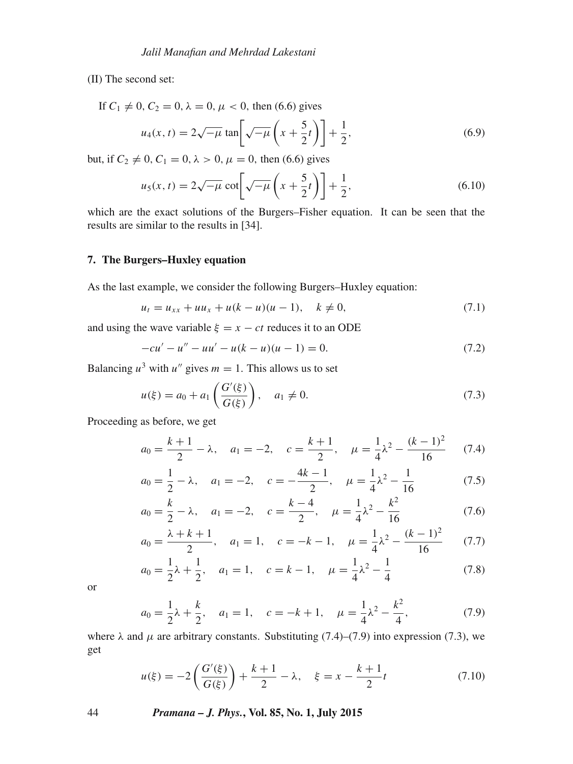(II) The second set:

If  $C_1 \neq 0, C_2 = 0, \lambda = 0, \mu < 0$ , then (6.6) gives

$$
u_4(x,t) = 2\sqrt{-\mu} \tan \left[\sqrt{-\mu} \left(x + \frac{5}{2}t\right)\right] + \frac{1}{2},\tag{6.9}
$$

but, if  $C_2 \neq 0, C_1 = 0, \lambda > 0, \mu = 0$ , then (6.6) gives

$$
u_5(x,t) = 2\sqrt{-\mu} \cot\left[\sqrt{-\mu}\left(x + \frac{5}{2}t\right)\right] + \frac{1}{2},\tag{6.10}
$$

which are the exact solutions of the Burgers–Fisher equation. It can be seen that the results are similar to the results in [34].

## **7. The Burgers–Huxley equation**

As the last example, we consider the following Burgers–Huxley equation:

$$
u_t = u_{xx} + uu_x + u(k - u)(u - 1), \quad k \neq 0,
$$
\n(7.1)

and using the wave variable  $\xi = x - ct$  reduces it to an ODE

$$
-cu' - u'' - uu' - u(k - u)(u - 1) = 0.
$$
\n(7.2)

Balancing  $u^3$  with  $u''$  gives  $m = 1$ . This allows us to set

$$
u(\xi) = a_0 + a_1 \left( \frac{G'(\xi)}{G(\xi)} \right), \quad a_1 \neq 0.
$$
 (7.3)

Proceeding as before, we get

$$
a_0 = \frac{k+1}{2} - \lambda, \quad a_1 = -2, \quad c = \frac{k+1}{2}, \quad \mu = \frac{1}{4}\lambda^2 - \frac{(k-1)^2}{16} \tag{7.4}
$$

$$
a_0 = \frac{1}{2} - \lambda
$$
,  $a_1 = -2$ ,  $c = -\frac{4k - 1}{2}$ ,  $\mu = \frac{1}{4}\lambda^2 - \frac{1}{16}$  (7.5)

$$
a_0 = \frac{k}{2} - \lambda
$$
,  $a_1 = -2$ ,  $c = \frac{k-4}{2}$ ,  $\mu = \frac{1}{4}\lambda^2 - \frac{k^2}{16}$  (7.6)

$$
a_0 = \frac{\lambda + k + 1}{2}, \quad a_1 = 1, \quad c = -k - 1, \quad \mu = \frac{1}{4}\lambda^2 - \frac{(k - 1)^2}{16} \tag{7.7}
$$

$$
a_0 = \frac{1}{2}\lambda + \frac{1}{2}, \quad a_1 = 1, \quad c = k - 1, \quad \mu = \frac{1}{4}\lambda^2 - \frac{1}{4}
$$
 (7.8)

or

$$
a_0 = \frac{1}{2}\lambda + \frac{k}{2}, \quad a_1 = 1, \quad c = -k + 1, \quad \mu = \frac{1}{4}\lambda^2 - \frac{k^2}{4}, \tag{7.9}
$$

where  $\lambda$  and  $\mu$  are arbitrary constants. Substituting (7.4)–(7.9) into expression (7.3), we get

$$
u(\xi) = -2\left(\frac{G'(\xi)}{G(\xi)}\right) + \frac{k+1}{2} - \lambda, \quad \xi = x - \frac{k+1}{2}t
$$
 (7.10)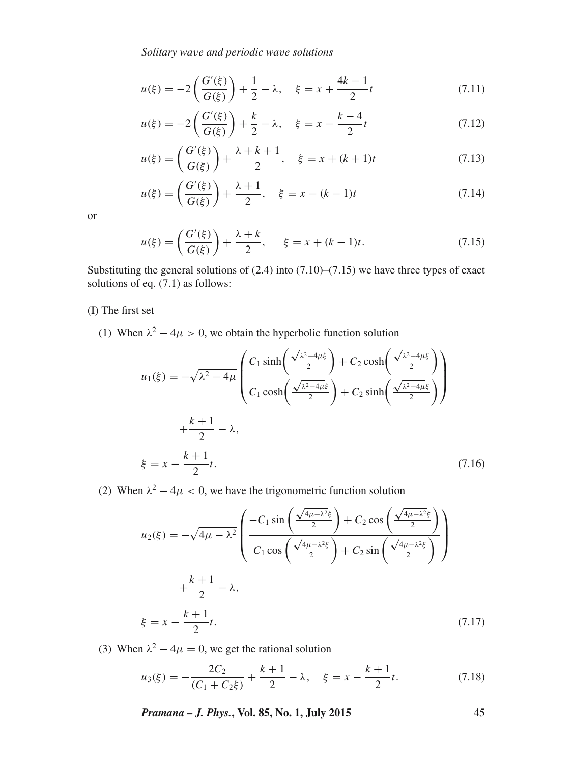*Solitary wa*v*e and periodic wa*v*e solutions*

$$
u(\xi) = -2\left(\frac{G'(\xi)}{G(\xi)}\right) + \frac{1}{2} - \lambda, \quad \xi = x + \frac{4k - 1}{2}t \tag{7.11}
$$

$$
u(\xi) = -2\left(\frac{G'(\xi)}{G(\xi)}\right) + \frac{k}{2} - \lambda, \quad \xi = x - \frac{k-4}{2}t
$$
 (7.12)

$$
u(\xi) = \left(\frac{G'(\xi)}{G(\xi)}\right) + \frac{\lambda + k + 1}{2}, \quad \xi = x + (k+1)t
$$
 (7.13)

$$
u(\xi) = \left(\frac{G'(\xi)}{G(\xi)}\right) + \frac{\lambda + 1}{2}, \quad \xi = x - (k - 1)t
$$
 (7.14)

or

$$
u(\xi) = \left(\frac{G'(\xi)}{G(\xi)}\right) + \frac{\lambda + k}{2}, \quad \xi = x + (k - 1)t. \tag{7.15}
$$

Substituting the general solutions of  $(2.4)$  into  $(7.10)$ – $(7.15)$  we have three types of exact solutions of eq. (7.1) as follows:

(I) The first set

(1) When  $\lambda^2 - 4\mu > 0$ , we obtain the hyperbolic function solution

$$
u_1(\xi) = -\sqrt{\lambda^2 - 4\mu} \left( \frac{C_1 \sinh\left(\frac{\sqrt{\lambda^2 - 4\mu\xi}}{2}\right) + C_2 \cosh\left(\frac{\sqrt{\lambda^2 - 4\mu\xi}}{2}\right)}{C_1 \cosh\left(\frac{\sqrt{\lambda^2 - 4\mu\xi}}{2}\right) + C_2 \sinh\left(\frac{\sqrt{\lambda^2 - 4\mu\xi}}{2}\right)} \right)
$$
  
 
$$
+ \frac{k+1}{2} - \lambda,
$$
  
 
$$
\xi = x - \frac{k+1}{2}t.
$$
 (7.16)

(2) When  $\lambda^2 - 4\mu < 0$ , we have the trigonometric function solution

$$
u_2(\xi) = -\sqrt{4\mu - \lambda^2} \left( \frac{-C_1 \sin\left(\frac{\sqrt{4\mu - \lambda^2} \xi}{2}\right) + C_2 \cos\left(\frac{\sqrt{4\mu - \lambda^2} \xi}{2}\right)}{C_1 \cos\left(\frac{\sqrt{4\mu - \lambda^2} \xi}{2}\right) + C_2 \sin\left(\frac{\sqrt{4\mu - \lambda^2} \xi}{2}\right)} \right)
$$
  

$$
+ \frac{k+1}{2} - \lambda,
$$
  

$$
\xi = x - \frac{k+1}{2}t.
$$
 (7.17)

(3) When  $\lambda^2 - 4\mu = 0$ , we get the rational solution

$$
u_3(\xi) = -\frac{2C_2}{(C_1 + C_2 \xi)} + \frac{k+1}{2} - \lambda, \quad \xi = x - \frac{k+1}{2}t.
$$
 (7.18)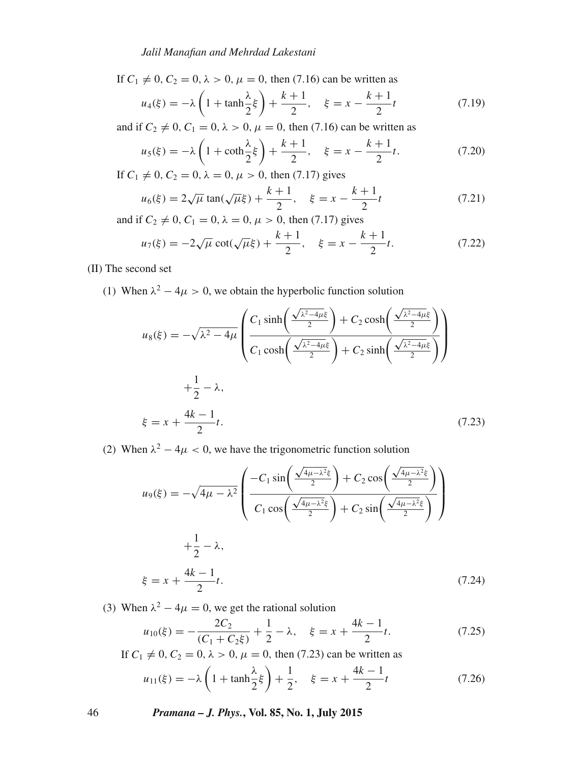*Jalil Manafian and Mehrdad Lakestani*

If  $C_1 \neq 0, C_2 = 0, \lambda > 0, \mu = 0$ , then (7.16) can be written as

$$
u_4(\xi) = -\lambda \left( 1 + \tanh \frac{\lambda}{2} \xi \right) + \frac{k+1}{2}, \quad \xi = x - \frac{k+1}{2}t \tag{7.19}
$$

and if  $C_2 \neq 0, C_1 = 0, \lambda > 0, \mu = 0$ , then (7.16) can be written as

$$
u_5(\xi) = -\lambda \left( 1 + \coth \frac{\lambda}{2} \xi \right) + \frac{k+1}{2}, \quad \xi = x - \frac{k+1}{2}t.
$$
 (7.20)

If  $C_1 \neq 0$ ,  $C_2 = 0$ ,  $\lambda = 0$ ,  $\mu > 0$ , then (7.17) gives

$$
u_6(\xi) = 2\sqrt{\mu} \tan(\sqrt{\mu}\xi) + \frac{k+1}{2}, \quad \xi = x - \frac{k+1}{2}t \tag{7.21}
$$

and if  $C_2 \neq 0, C_1 = 0, \lambda = 0, \mu > 0$ , then (7.17) gives

$$
u_7(\xi) = -2\sqrt{\mu}\cot(\sqrt{\mu}\xi) + \frac{k+1}{2}, \quad \xi = x - \frac{k+1}{2}t.
$$
 (7.22)

(II) The second set

(1) When  $\lambda^2 - 4\mu > 0$ , we obtain the hyperbolic function solution

$$
u_8(\xi) = -\sqrt{\lambda^2 - 4\mu} \left( \frac{C_1 \sinh\left(\frac{\sqrt{\lambda^2 - 4\mu\xi}}{2}\right) + C_2 \cosh\left(\frac{\sqrt{\lambda^2 - 4\mu\xi}}{2}\right)}{C_1 \cosh\left(\frac{\sqrt{\lambda^2 - 4\mu\xi}}{2}\right) + C_2 \sinh\left(\frac{\sqrt{\lambda^2 - 4\mu\xi}}{2}\right)} \right)
$$
  
 
$$
+ \frac{1}{2} - \lambda,
$$
  
 
$$
\xi = x + \frac{4k - 1}{2}t.
$$
 (7.23)

(2) When  $\lambda^2 - 4\mu < 0$ , we have the trigonometric function solution

$$
u_9(\xi) = -\sqrt{4\mu - \lambda^2} \left( \frac{-C_1 \sin\left(\frac{\sqrt{4\mu - \lambda^2}\xi}{2}\right) + C_2 \cos\left(\frac{\sqrt{4\mu - \lambda^2}\xi}{2}\right)}{C_1 \cos\left(\frac{\sqrt{4\mu - \lambda^2}\xi}{2}\right) + C_2 \sin\left(\frac{\sqrt{4\mu - \lambda^2}\xi}{2}\right)} \right)
$$
  
 
$$
+\frac{1}{2} - \lambda,
$$
  
 
$$
\xi = x + \frac{4k - 1}{2}t.
$$
 (7.24)

(3) When  $\lambda^2 - 4\mu = 0$ , we get the rational solution

$$
u_{10}(\xi) = -\frac{2C_2}{(C_1 + C_2 \xi)} + \frac{1}{2} - \lambda, \quad \xi = x + \frac{4k - 1}{2}t.
$$
 (7.25)

If  $C_1 \neq 0, C_2 = 0, \lambda > 0, \mu = 0$ , then (7.23) can be written as

$$
u_{11}(\xi) = -\lambda \left( 1 + \tanh \frac{\lambda}{2} \xi \right) + \frac{1}{2}, \quad \xi = x + \frac{4k - 1}{2}t \tag{7.26}
$$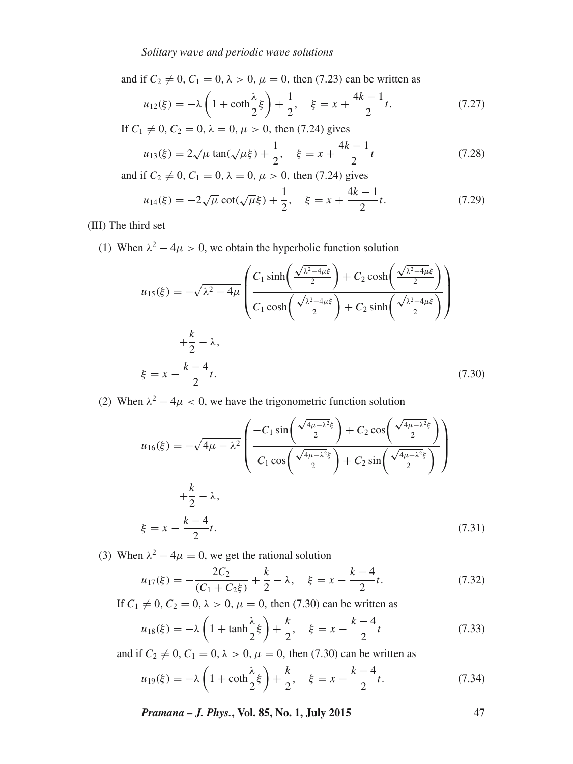and if  $C_2 \neq 0, C_1 = 0, \lambda > 0, \mu = 0$ , then (7.23) can be written as

$$
u_{12}(\xi) = -\lambda \left( 1 + \coth \frac{\lambda}{2} \xi \right) + \frac{1}{2}, \quad \xi = x + \frac{4k - 1}{2}t. \tag{7.27}
$$

If  $C_1 \neq 0$ ,  $C_2 = 0$ ,  $\lambda = 0$ ,  $\mu > 0$ , then (7.24) gives

$$
u_{13}(\xi) = 2\sqrt{\mu} \tan(\sqrt{\mu}\xi) + \frac{1}{2}, \quad \xi = x + \frac{4k - 1}{2}t \tag{7.28}
$$

and if  $C_2 \neq 0, C_1 = 0, \lambda = 0, \mu > 0$ , then (7.24) gives

$$
u_{14}(\xi) = -2\sqrt{\mu}\cot(\sqrt{\mu}\xi) + \frac{1}{2}, \quad \xi = x + \frac{4k - 1}{2}t.
$$
 (7.29)

(III) The third set

(1) When  $\lambda^2 - 4\mu > 0$ , we obtain the hyperbolic function solution

$$
u_{15}(\xi) = -\sqrt{\lambda^2 - 4\mu} \left( \frac{C_1 \sinh\left(\frac{\sqrt{\lambda^2 - 4\mu\xi}}{2}\right) + C_2 \cosh\left(\frac{\sqrt{\lambda^2 - 4\mu\xi}}{2}\right)}{C_1 \cosh\left(\frac{\sqrt{\lambda^2 - 4\mu\xi}}{2}\right) + C_2 \sinh\left(\frac{\sqrt{\lambda^2 - 4\mu\xi}}{2}\right)} \right)
$$
  
 
$$
+\frac{k}{2} - \lambda,
$$
  
\n
$$
\xi = x - \frac{k - 4}{2}t.
$$
 (7.30)

(2) When  $\lambda^2 - 4\mu < 0$ , we have the trigonometric function solution

$$
u_{16}(\xi) = -\sqrt{4\mu - \lambda^2} \left( \frac{-C_1 \sin\left(\frac{\sqrt{4\mu - \lambda^2} \xi}{2}\right) + C_2 \cos\left(\frac{\sqrt{4\mu - \lambda^2} \xi}{2}\right)}{C_1 \cos\left(\frac{\sqrt{4\mu - \lambda^2} \xi}{2}\right) + C_2 \sin\left(\frac{\sqrt{4\mu - \lambda^2} \xi}{2}\right)} \right)
$$
  
 
$$
+\frac{k}{2} - \lambda,
$$
  
 
$$
\xi = x - \frac{k - 4}{2}t.
$$
 (7.31)

(3) When  $\lambda^2 - 4\mu = 0$ , we get the rational solution

$$
u_{17}(\xi) = -\frac{2C_2}{(C_1 + C_2 \xi)} + \frac{k}{2} - \lambda, \quad \xi = x - \frac{k - 4}{2}t.
$$
 (7.32)

If  $C_1 \neq 0, C_2 = 0, \lambda > 0, \mu = 0$ , then (7.30) can be written as

$$
u_{18}(\xi) = -\lambda \left( 1 + \tanh \frac{\lambda}{2} \xi \right) + \frac{k}{2}, \quad \xi = x - \frac{k - 4}{2}t \tag{7.33}
$$

and if  $C_2 \neq 0$ ,  $C_1 = 0$ ,  $\lambda > 0$ ,  $\mu = 0$ , then (7.30) can be written as

$$
u_{19}(\xi) = -\lambda \left( 1 + \coth \frac{\lambda}{2} \xi \right) + \frac{k}{2}, \quad \xi = x - \frac{k - 4}{2}t. \tag{7.34}
$$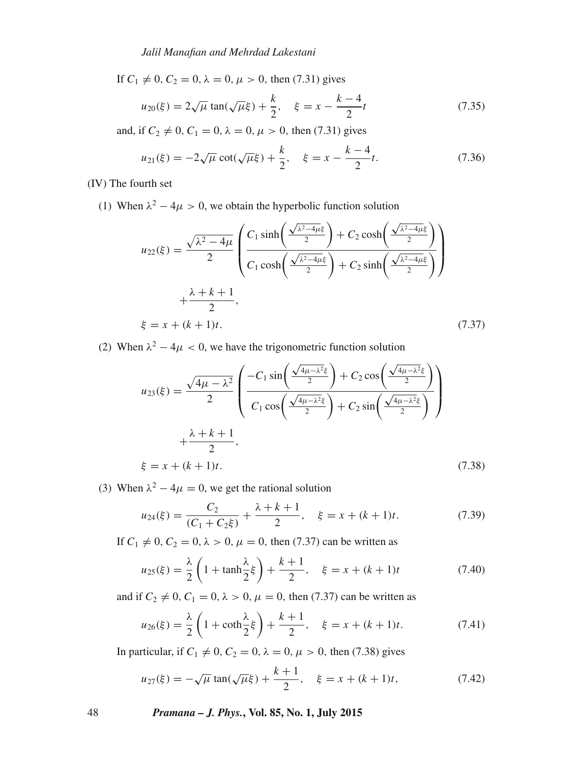If  $C_1 \neq 0, C_2 = 0, \lambda = 0, \mu > 0$ , then (7.31) gives

$$
u_{20}(\xi) = 2\sqrt{\mu} \tan(\sqrt{\mu}\xi) + \frac{k}{2}, \quad \xi = x - \frac{k-4}{2}t
$$
 (7.35)

and, if  $C_2 \neq 0$ ,  $C_1 = 0$ ,  $\lambda = 0$ ,  $\mu > 0$ , then (7.31) gives

$$
u_{21}(\xi) = -2\sqrt{\mu}\cot(\sqrt{\mu}\xi) + \frac{k}{2}, \quad \xi = x - \frac{k-4}{2}t.
$$
 (7.36)

(IV) The fourth set

(1) When  $\lambda^2 - 4\mu > 0$ , we obtain the hyperbolic function solution

$$
u_{22}(\xi) = \frac{\sqrt{\lambda^2 - 4\mu}}{2} \left( \frac{C_1 \sinh\left(\frac{\sqrt{\lambda^2 - 4\mu\xi}}{2}\right) + C_2 \cosh\left(\frac{\sqrt{\lambda^2 - 4\mu\xi}}{2}\right)}{C_1 \cosh\left(\frac{\sqrt{\lambda^2 - 4\mu\xi}}{2}\right) + C_2 \sinh\left(\frac{\sqrt{\lambda^2 - 4\mu\xi}}{2}\right)} \right)
$$
  
 
$$
+ \frac{\lambda + k + 1}{2},
$$
  
\n
$$
\xi = x + (k + 1)t.
$$
 (7.37)

(2) When  $\lambda^2 - 4\mu < 0$ , we have the trigonometric function solution

$$
u_{23}(\xi) = \frac{\sqrt{4\mu - \lambda^2}}{2} \left( \frac{-C_1 \sin\left(\frac{\sqrt{4\mu - \lambda^2} \xi}{2}\right) + C_2 \cos\left(\frac{\sqrt{4\mu - \lambda^2} \xi}{2}\right)}{C_1 \cos\left(\frac{\sqrt{4\mu - \lambda^2} \xi}{2}\right) + C_2 \sin\left(\frac{\sqrt{4\mu - \lambda^2} \xi}{2}\right)} \right) + \frac{\lambda + k + 1}{2},
$$
  
\n
$$
\xi = x + (k + 1)t.
$$
 (7.38)

(3) When  $\lambda^2 - 4\mu = 0$ , we get the rational solution

$$
u_{24}(\xi) = \frac{C_2}{(C_1 + C_2 \xi)} + \frac{\lambda + k + 1}{2}, \quad \xi = x + (k + 1)t. \tag{7.39}
$$

If  $C_1 \neq 0, C_2 = 0, \lambda > 0, \mu = 0$ , then (7.37) can be written as

$$
u_{25}(\xi) = \frac{\lambda}{2} \left( 1 + \tanh \frac{\lambda}{2} \xi \right) + \frac{k+1}{2}, \quad \xi = x + (k+1)t \tag{7.40}
$$

and if  $C_2 \neq 0, C_1 = 0, \lambda > 0, \mu = 0$ , then (7.37) can be written as

$$
u_{26}(\xi) = \frac{\lambda}{2} \left( 1 + \coth \frac{\lambda}{2} \xi \right) + \frac{k+1}{2}, \quad \xi = x + (k+1)t. \tag{7.41}
$$

In particular, if  $C_1 \neq 0$ ,  $C_2 = 0$ ,  $\lambda = 0$ ,  $\mu > 0$ , then (7.38) gives

$$
u_{27}(\xi) = -\sqrt{\mu} \tan(\sqrt{\mu}\xi) + \frac{k+1}{2}, \quad \xi = x + (k+1)t,
$$
 (7.42)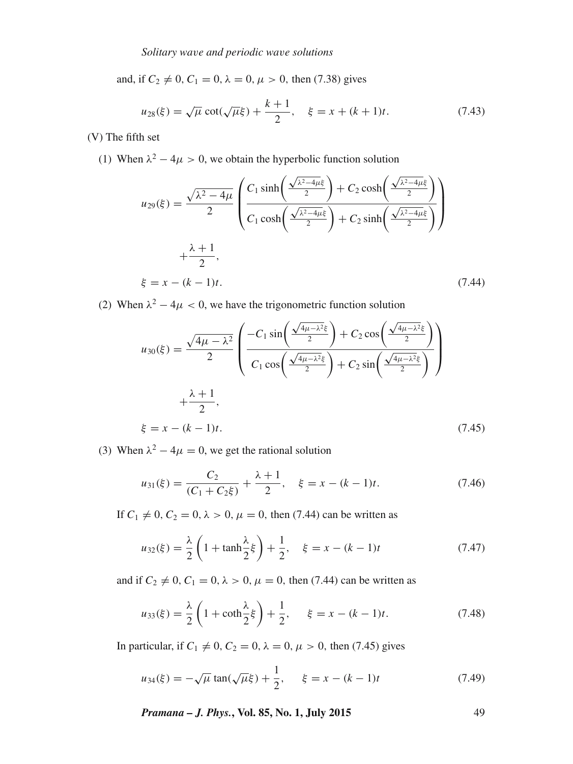and, if  $C_2 \neq 0$ ,  $C_1 = 0$ ,  $\lambda = 0$ ,  $\mu > 0$ , then (7.38) gives

$$
u_{28}(\xi) = \sqrt{\mu} \cot(\sqrt{\mu}\xi) + \frac{k+1}{2}, \quad \xi = x + (k+1)t. \tag{7.43}
$$

(V) The fifth set

(1) When  $\lambda^2 - 4\mu > 0$ , we obtain the hyperbolic function solution

$$
u_{29}(\xi) = \frac{\sqrt{\lambda^2 - 4\mu}}{2} \left( \frac{C_1 \sinh\left(\frac{\sqrt{\lambda^2 - 4\mu\xi}}{2}\right) + C_2 \cosh\left(\frac{\sqrt{\lambda^2 - 4\mu\xi}}{2}\right)}{C_1 \cosh\left(\frac{\sqrt{\lambda^2 - 4\mu\xi}}{2}\right) + C_2 \sinh\left(\frac{\sqrt{\lambda^2 - 4\mu\xi}}{2}\right)} \right)
$$
  
 
$$
+ \frac{\lambda + 1}{2},
$$
  
  $\xi = x - (k - 1)t.$  (7.44)

(2) When  $\lambda^2 - 4\mu < 0$ , we have the trigonometric function solution

$$
u_{30}(\xi) = \frac{\sqrt{4\mu - \lambda^2}}{2} \left( \frac{-C_1 \sin\left(\frac{\sqrt{4\mu - \lambda^2}\xi}{2}\right) + C_2 \cos\left(\frac{\sqrt{4\mu - \lambda^2}\xi}{2}\right)}{C_1 \cos\left(\frac{\sqrt{4\mu - \lambda^2}\xi}{2}\right) + C_2 \sin\left(\frac{\sqrt{4\mu - \lambda^2}\xi}{2}\right)} \right)
$$
  
 
$$
+\frac{\lambda + 1}{2},
$$
  
 
$$
\xi = x - (k - 1)t.
$$
 (7.45)

(3) When  $\lambda^2 - 4\mu = 0$ , we get the rational solution

$$
u_{31}(\xi) = \frac{C_2}{(C_1 + C_2 \xi)} + \frac{\lambda + 1}{2}, \quad \xi = x - (k - 1)t.
$$
 (7.46)

If  $C_1 \neq 0, C_2 = 0, \lambda > 0, \mu = 0$ , then (7.44) can be written as

$$
u_{32}(\xi) = \frac{\lambda}{2} \left( 1 + \tanh \frac{\lambda}{2} \xi \right) + \frac{1}{2}, \quad \xi = x - (k - 1)t \tag{7.47}
$$

and if  $C_2 \neq 0$ ,  $C_1 = 0$ ,  $\lambda > 0$ ,  $\mu = 0$ , then (7.44) can be written as

$$
u_{33}(\xi) = \frac{\lambda}{2} \left( 1 + \coth \frac{\lambda}{2} \xi \right) + \frac{1}{2}, \quad \xi = x - (k - 1)t. \tag{7.48}
$$

In particular, if  $C_1 \neq 0$ ,  $C_2 = 0$ ,  $\lambda = 0$ ,  $\mu > 0$ , then (7.45) gives

$$
u_{34}(\xi) = -\sqrt{\mu} \tan(\sqrt{\mu}\xi) + \frac{1}{2}, \quad \xi = x - (k - 1)t
$$
 (7.49)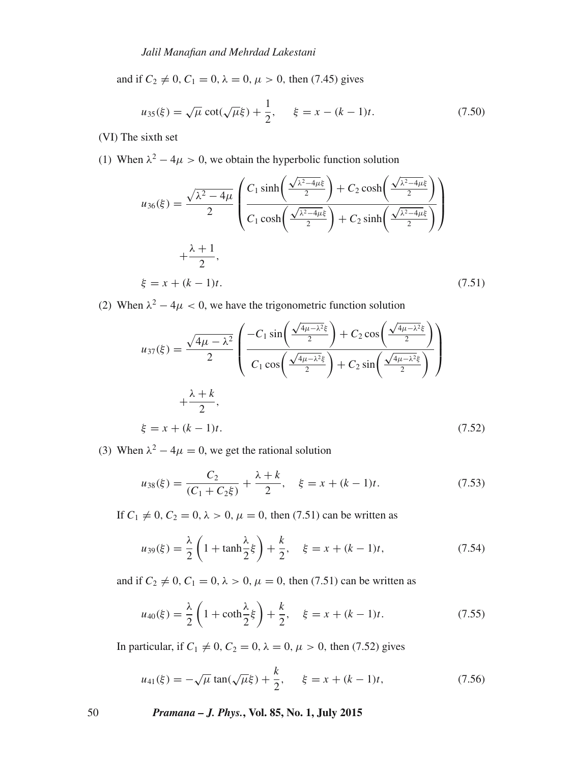and if  $C_2 \neq 0$ ,  $C_1 = 0$ ,  $\lambda = 0$ ,  $\mu > 0$ , then (7.45) gives

$$
u_{35}(\xi) = \sqrt{\mu} \cot(\sqrt{\mu}\xi) + \frac{1}{2}, \quad \xi = x - (k - 1)t. \tag{7.50}
$$

(VI) The sixth set

(1) When  $\lambda^2 - 4\mu > 0$ , we obtain the hyperbolic function solution

$$
u_{36}(\xi) = \frac{\sqrt{\lambda^2 - 4\mu}}{2} \left( \frac{C_1 \sinh\left(\frac{\sqrt{\lambda^2 - 4\mu\xi}}{2}\right) + C_2 \cosh\left(\frac{\sqrt{\lambda^2 - 4\mu\xi}}{2}\right)}{C_1 \cosh\left(\frac{\sqrt{\lambda^2 - 4\mu\xi}}{2}\right) + C_2 \sinh\left(\frac{\sqrt{\lambda^2 - 4\mu\xi}}{2}\right)} \right)
$$
  
 
$$
+ \frac{\lambda + 1}{2},
$$
  
  $\xi = x + (k - 1)t.$  (7.51)

(2) When  $\lambda^2 - 4\mu < 0$ , we have the trigonometric function solution

$$
u_{37}(\xi) = \frac{\sqrt{4\mu - \lambda^2}}{2} \left( \frac{-C_1 \sin\left(\frac{\sqrt{4\mu - \lambda^2}\xi}{2}\right) + C_2 \cos\left(\frac{\sqrt{4\mu - \lambda^2}\xi}{2}\right)}{C_1 \cos\left(\frac{\sqrt{4\mu - \lambda^2}\xi}{2}\right) + C_2 \sin\left(\frac{\sqrt{4\mu - \lambda^2}\xi}{2}\right)} \right)
$$
  
 
$$
+\frac{\lambda + k}{2},
$$
  
\n
$$
\xi = x + (k - 1)t.
$$
 (7.52)

(3) When  $\lambda^2 - 4\mu = 0$ , we get the rational solution

$$
u_{38}(\xi) = \frac{C_2}{(C_1 + C_2 \xi)} + \frac{\lambda + k}{2}, \quad \xi = x + (k - 1)t.
$$
 (7.53)

If  $C_1 \neq 0, C_2 = 0, \lambda > 0, \mu = 0$ , then (7.51) can be written as

$$
u_{39}(\xi) = \frac{\lambda}{2} \left( 1 + \tanh \frac{\lambda}{2} \xi \right) + \frac{k}{2}, \quad \xi = x + (k - 1)t,
$$
 (7.54)

and if  $C_2 \neq 0, C_1 = 0, \lambda > 0, \mu = 0$ , then (7.51) can be written as

$$
u_{40}(\xi) = \frac{\lambda}{2} \left( 1 + \coth \frac{\lambda}{2} \xi \right) + \frac{k}{2}, \quad \xi = x + (k - 1)t. \tag{7.55}
$$

In particular, if  $C_1 \neq 0$ ,  $C_2 = 0$ ,  $\lambda = 0$ ,  $\mu > 0$ , then (7.52) gives

$$
u_{41}(\xi) = -\sqrt{\mu} \tan(\sqrt{\mu}\xi) + \frac{k}{2}, \quad \xi = x + (k - 1)t,
$$
 (7.56)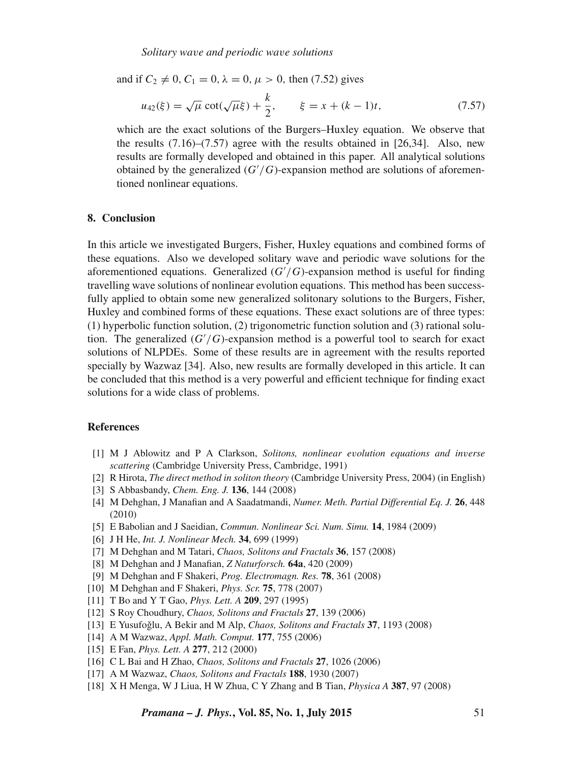and if  $C_2 \neq 0$ ,  $C_1 = 0$ ,  $\lambda = 0$ ,  $\mu > 0$ , then (7.52) gives

$$
u_{42}(\xi) = \sqrt{\mu} \cot(\sqrt{\mu}\xi) + \frac{k}{2}, \qquad \xi = x + (k - 1)t,
$$
 (7.57)

which are the exact solutions of the Burgers–Huxley equation. We observe that the results  $(7.16)$ – $(7.57)$  agree with the results obtained in [26,34]. Also, new results are formally developed and obtained in this paper. All analytical solutions obtained by the generalized  $(G'/G)$ -expansion method are solutions of aforementioned nonlinear equations.

## **8. Conclusion**

In this article we investigated Burgers, Fisher, Huxley equations and combined forms of these equations. Also we developed solitary wave and periodic wave solutions for the aforementioned equations. Generalized  $(G'/G)$ -expansion method is useful for finding travelling wave solutions of nonlinear evolution equations. This method has been successfully applied to obtain some new generalized solitonary solutions to the Burgers, Fisher, Huxley and combined forms of these equations. These exact solutions are of three types: (1) hyperbolic function solution, (2) trigonometric function solution and (3) rational solution. The generalized  $(G'/G)$ -expansion method is a powerful tool to search for exact solutions of NLPDEs. Some of these results are in agreement with the results reported specially by Wazwaz [34]. Also, new results are formally developed in this article. It can be concluded that this method is a very powerful and efficient technique for finding exact solutions for a wide class of problems.

#### **References**

- [1] M J Ablowitz and P A Clarkson, *Solitons, nonlinear e*v*olution equations and in*v*erse scattering* (Cambridge University Press, Cambridge, 1991)
- [2] R Hirota, *The direct method in soliton theory* (Cambridge University Press, 2004) (in English)
- [3] S Abbasbandy, *Chem. Eng. J.* **136**, 144 (2008)
- [4] M Dehghan, J Manafian and A Saadatmandi, *Numer. Meth. Partial Differential Eq. J.* **26**, 448 (2010)
- [5] E Babolian and J Saeidian, *Commun. Nonlinear Sci. Num. Simu.* **14**, 1984 (2009)
- [6] J H He, *Int. J. Nonlinear Mech.* **34**, 699 (1999)
- [7] M Dehghan and M Tatari, *Chaos, Solitons and Fractals* **36**, 157 (2008)
- [8] M Dehghan and J Manafian, *Z Naturforsch.* **64a**, 420 (2009)
- [9] M Dehghan and F Shakeri, *Prog. Electromagn. Res.* **78**, 361 (2008)
- [10] M Dehghan and F Shakeri, *Phys. Scr.* **75**, 778 (2007)
- [11] T Bo and Y T Gao, *Phys. Lett. A* **209**, 297 (1995)
- [12] S Roy Choudhury, *Chaos, Solitons and Fractals* **27**, 139 (2006)
- [13] E Yusufoğlu, A Bekir and M Alp, *Chaos, Solitons and Fractals* 37, 1193 (2008)
- [14] A M Wazwaz, *Appl. Math. Comput.* **177**, 755 (2006)
- [15] E Fan, *Phys. Lett. A* **277**, 212 (2000)
- [16] C L Bai and H Zhao, *Chaos, Solitons and Fractals* **27**, 1026 (2006)
- [17] A M Wazwaz, *Chaos, Solitons and Fractals* **188**, 1930 (2007)
- [18] X H Menga, W J Liua, H W Zhua, C Y Zhang and B Tian, *Physica A* **387**, 97 (2008)